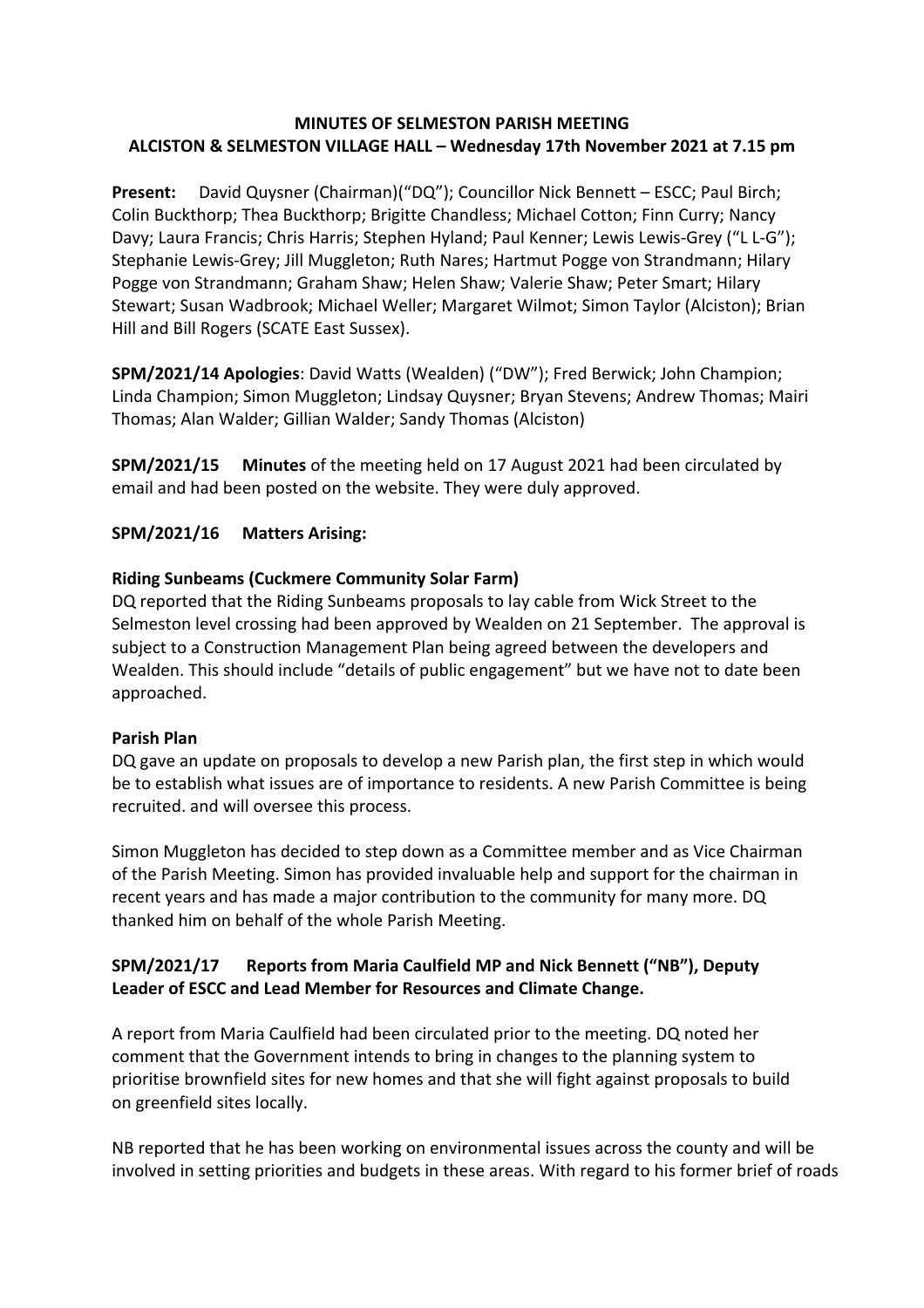### **MINUTES OF SELMESTON PARISH MEETING ALCISTON & SELMESTON VILLAGE HALL – Wednesday 17th November 2021 at 7.15 pm**

**Present:** David Quysner (Chairman)("DQ"); Councillor Nick Bennett – ESCC; Paul Birch; Colin Buckthorp; Thea Buckthorp; Brigitte Chandless; Michael Cotton; Finn Curry; Nancy Davy; Laura Francis; Chris Harris; Stephen Hyland; Paul Kenner; Lewis Lewis-Grey ("L L-G"); Stephanie Lewis-Grey; Jill Muggleton; Ruth Nares; Hartmut Pogge von Strandmann; Hilary Pogge von Strandmann; Graham Shaw; Helen Shaw; Valerie Shaw; Peter Smart; Hilary Stewart; Susan Wadbrook; Michael Weller; Margaret Wilmot; Simon Taylor (Alciston); Brian Hill and Bill Rogers (SCATE East Sussex).

**SPM/2021/14 Apologies**: David Watts (Wealden) ("DW"); Fred Berwick; John Champion; Linda Champion; Simon Muggleton; Lindsay Quysner; Bryan Stevens; Andrew Thomas; Mairi Thomas; Alan Walder; Gillian Walder; Sandy Thomas (Alciston)

**SPM/2021/15 Minutes** of the meeting held on 17 August 2021 had been circulated by email and had been posted on the website. They were duly approved.

#### **SPM/2021/16 Matters Arising:**

#### **Riding Sunbeams (Cuckmere Community Solar Farm)**

DQ reported that the Riding Sunbeams proposals to lay cable from Wick Street to the Selmeston level crossing had been approved by Wealden on 21 September. The approval is subject to a Construction Management Plan being agreed between the developers and Wealden. This should include "details of public engagement" but we have not to date been approached.

#### **Parish Plan**

DQ gave an update on proposals to develop a new Parish plan, the first step in which would be to establish what issues are of importance to residents. A new Parish Committee is being recruited. and will oversee this process.

Simon Muggleton has decided to step down as a Committee member and as Vice Chairman of the Parish Meeting. Simon has provided invaluable help and support for the chairman in recent years and has made a major contribution to the community for many more. DQ thanked him on behalf of the whole Parish Meeting.

### **SPM/2021/17 Reports from Maria Caulfield MP and Nick Bennett ("NB"), Deputy Leader of ESCC and Lead Member for Resources and Climate Change.**

A report from Maria Caulfield had been circulated prior to the meeting. DQ noted her comment that the Government intends to bring in changes to the planning system to prioritise brownfield sites for new homes and that she will fight against proposals to build on greenfield sites locally.

NB reported that he has been working on environmental issues across the county and will be involved in setting priorities and budgets in these areas. With regard to his former brief of roads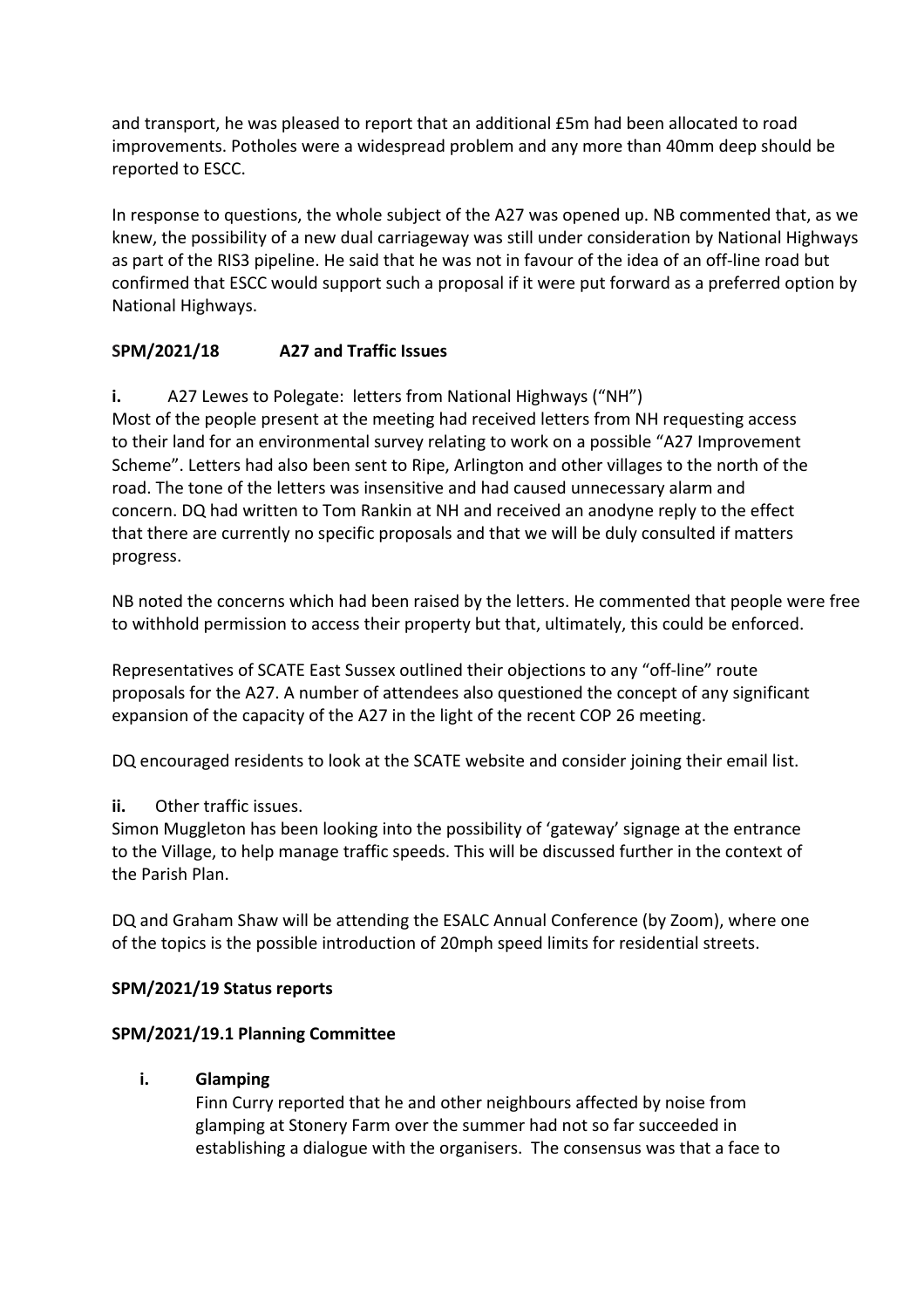and transport, he was pleased to report that an additional £5m had been allocated to road improvements. Potholes were a widespread problem and any more than 40mm deep should be reported to ESCC.

In response to questions, the whole subject of the A27 was opened up. NB commented that, as we knew, the possibility of a new dual carriageway was still under consideration by National Highways as part of the RIS3 pipeline. He said that he was not in favour of the idea of an off-line road but confirmed that ESCC would support such a proposal if it were put forward as a preferred option by National Highways.

# **SPM/2021/18 A27 and Traffic Issues**

**i.** A27 Lewes to Polegate: letters from National Highways ("NH")

Most of the people present at the meeting had received letters from NH requesting access to their land for an environmental survey relating to work on a possible "A27 Improvement Scheme". Letters had also been sent to Ripe, Arlington and other villages to the north of the road. The tone of the letters was insensitive and had caused unnecessary alarm and concern. DQ had written to Tom Rankin at NH and received an anodyne reply to the effect that there are currently no specific proposals and that we will be duly consulted if matters progress.

NB noted the concerns which had been raised by the letters. He commented that people were free to withhold permission to access their property but that, ultimately, this could be enforced.

Representatives of SCATE East Sussex outlined their objections to any "off-line" route proposals for the A27. A number of attendees also questioned the concept of any significant expansion of the capacity of the A27 in the light of the recent COP 26 meeting.

DQ encouraged residents to look at the SCATE website and consider joining their email list.

# **ii.** Other traffic issues.

Simon Muggleton has been looking into the possibility of 'gateway' signage at the entrance to the Village, to help manage traffic speeds. This will be discussed further in the context of the Parish Plan.

DQ and Graham Shaw will be attending the ESALC Annual Conference (by Zoom), where one of the topics is the possible introduction of 20mph speed limits for residential streets.

### **SPM/2021/19 Status reports**

### **SPM/2021/19.1 Planning Committee**

### **i. Glamping**

Finn Curry reported that he and other neighbours affected by noise from glamping at Stonery Farm over the summer had not so far succeeded in establishing a dialogue with the organisers. The consensus was that a face to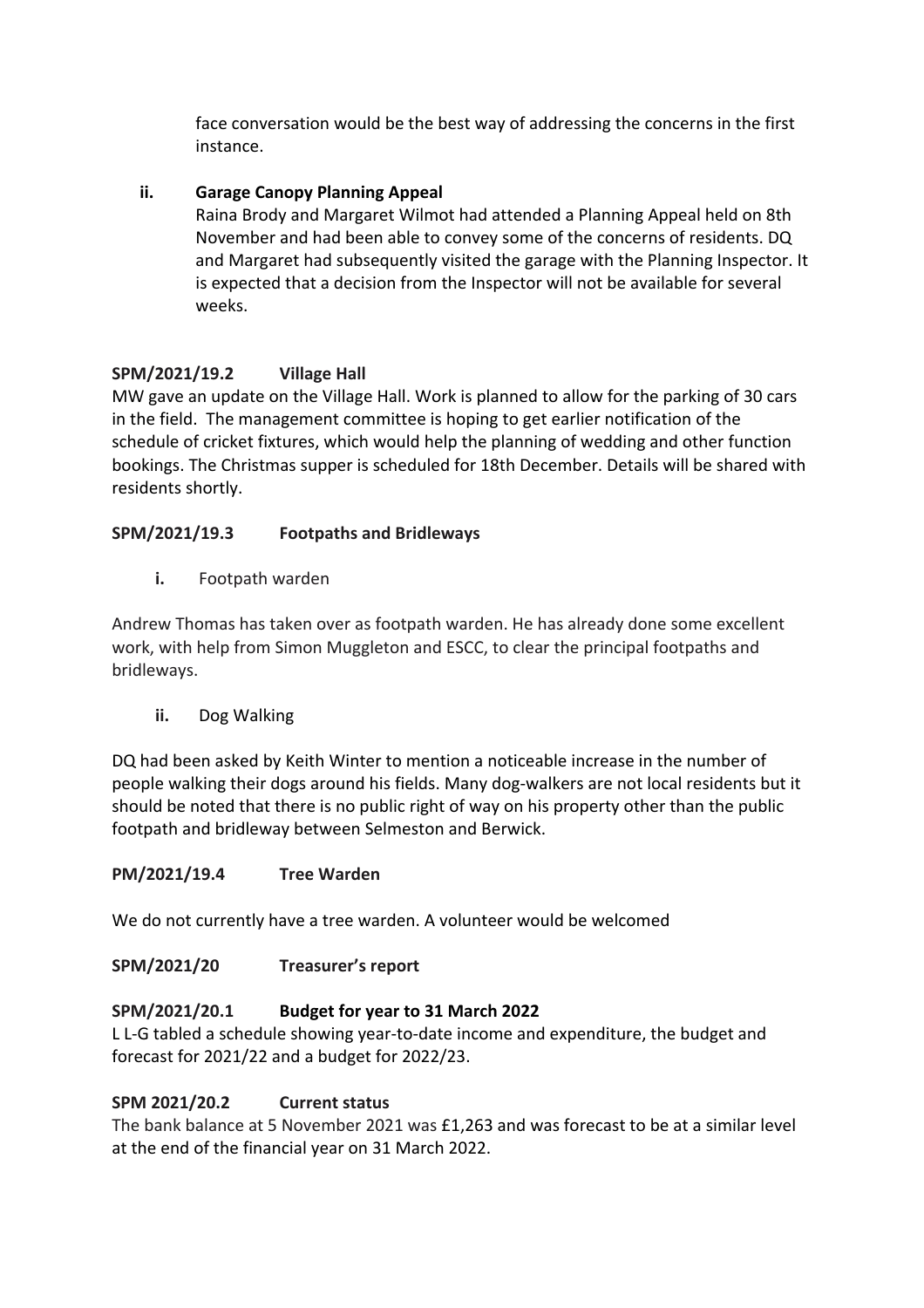face conversation would be the best way of addressing the concerns in the first instance.

# **ii. Garage Canopy Planning Appeal**

Raina Brody and Margaret Wilmot had attended a Planning Appeal held on 8th November and had been able to convey some of the concerns of residents. DQ and Margaret had subsequently visited the garage with the Planning Inspector. It is expected that a decision from the Inspector will not be available for several weeks.

# **SPM/2021/19.2 Village Hall**

MW gave an update on the Village Hall. Work is planned to allow for the parking of 30 cars in the field. The management committee is hoping to get earlier notification of the schedule of cricket fixtures, which would help the planning of wedding and other function bookings. The Christmas supper is scheduled for 18th December. Details will be shared with residents shortly.

### **SPM/2021/19.3 Footpaths and Bridleways**

**i.** Footpath warden

Andrew Thomas has taken over as footpath warden. He has already done some excellent work, with help from Simon Muggleton and ESCC, to clear the principal footpaths and bridleways.

### **ii.** Dog Walking

DQ had been asked by Keith Winter to mention a noticeable increase in the number of people walking their dogs around his fields. Many dog-walkers are not local residents but it should be noted that there is no public right of way on his property other than the public footpath and bridleway between Selmeston and Berwick.

### **PM/2021/19.4 Tree Warden**

We do not currently have a tree warden. A volunteer would be welcomed

# **SPM/2021/20 Treasurer's report**

# **SPM/2021/20.1 Budget for year to 31 March 2022**

L L-G tabled a schedule showing year-to-date income and expenditure, the budget and forecast for 2021/22 and a budget for 2022/23.

### **SPM 2021/20.2 Current status**

The bank balance at 5 November 2021 was £1,263 and was forecast to be at a similar level at the end of the financial year on 31 March 2022.